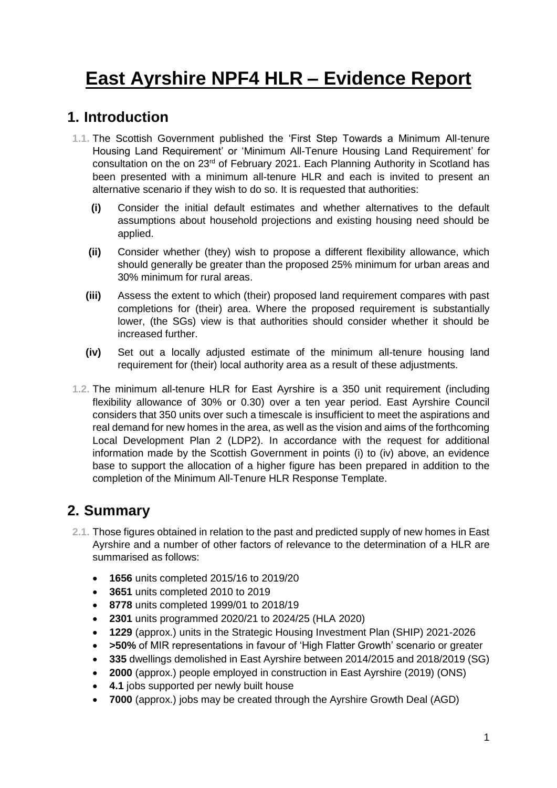# **East Ayrshire NPF4 HLR – Evidence Report**

## **1. Introduction**

- **1.1.** The Scottish Government published the 'First Step Towards a Minimum All-tenure Housing Land Requirement' or 'Minimum All-Tenure Housing Land Requirement' for consultation on the on 23<sup>rd</sup> of February 2021. Each Planning Authority in Scotland has been presented with a minimum all-tenure HLR and each is invited to present an alternative scenario if they wish to do so. It is requested that authorities:
	- **(i)** Consider the initial default estimates and whether alternatives to the default assumptions about household projections and existing housing need should be applied.
	- **(ii)** Consider whether (they) wish to propose a different flexibility allowance, which should generally be greater than the proposed 25% minimum for urban areas and 30% minimum for rural areas.
	- **(iii)** Assess the extent to which (their) proposed land requirement compares with past completions for (their) area. Where the proposed requirement is substantially lower, (the SGs) view is that authorities should consider whether it should be increased further.
	- **(iv)** Set out a locally adjusted estimate of the minimum all-tenure housing land requirement for (their) local authority area as a result of these adjustments.
- **1.2.** The minimum all-tenure HLR for East Ayrshire is a 350 unit requirement (including flexibility allowance of 30% or 0.30) over a ten year period. East Ayrshire Council considers that 350 units over such a timescale is insufficient to meet the aspirations and real demand for new homes in the area, as well as the vision and aims of the forthcoming Local Development Plan 2 (LDP2). In accordance with the request for additional information made by the Scottish Government in points (i) to (iv) above, an evidence base to support the allocation of a higher figure has been prepared in addition to the completion of the Minimum All-Tenure HLR Response Template.

# **2. Summary**

- **2.1.** Those figures obtained in relation to the past and predicted supply of new homes in East Ayrshire and a number of other factors of relevance to the determination of a HLR are summarised as follows:
	- **1656** units completed 2015/16 to 2019/20
	- **3651** units completed 2010 to 2019
	- **8778** units completed 1999/01 to 2018/19
	- **2301** units programmed 2020/21 to 2024/25 (HLA 2020)
	- **1229** (approx.) units in the Strategic Housing Investment Plan (SHIP) 2021-2026
	- **>50%** of MIR representations in favour of 'High Flatter Growth' scenario or greater
	- **335** dwellings demolished in East Ayrshire between 2014/2015 and 2018/2019 (SG)
	- **2000** (approx.) people employed in construction in East Ayrshire (2019) (ONS)
	- **4.1** jobs supported per newly built house
	- **7000** (approx.) jobs may be created through the Ayrshire Growth Deal (AGD)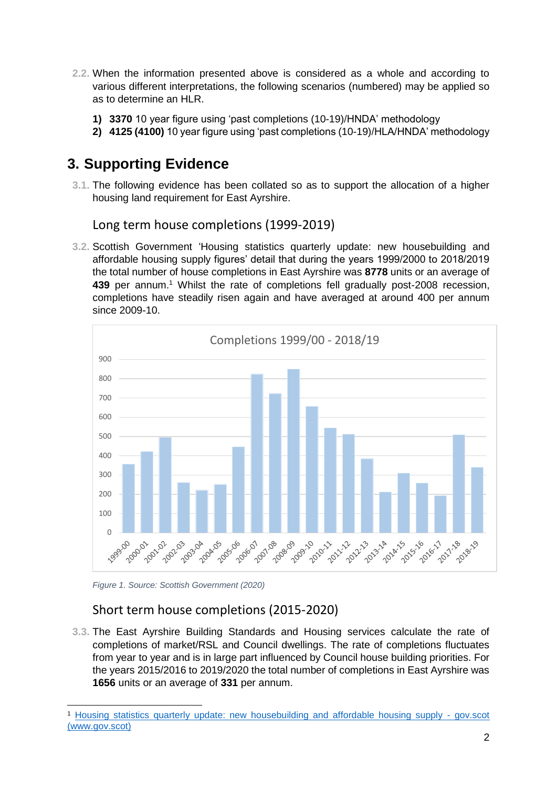- **2.2.** When the information presented above is considered as a whole and according to various different interpretations, the following scenarios (numbered) may be applied so as to determine an HLR.
	- **1) 3370** 10 year figure using 'past completions (10-19)/HNDA' methodology
	- **2) 4125 (4100)** 10 year figure using 'past completions (10-19)/HLA/HNDA' methodology

# **3. Supporting Evidence**

**3.1.** The following evidence has been collated so as to support the allocation of a higher housing land requirement for East Ayrshire.

Long term house completions (1999-2019)

**3.2.** Scottish Government 'Housing statistics quarterly update: new housebuilding and affordable housing supply figures' detail that during the years 1999/2000 to 2018/2019 the total number of house completions in East Ayrshire was **8778** units or an average of 439 per annum.<sup>1</sup> Whilst the rate of completions fell gradually post-2008 recession, completions have steadily risen again and have averaged at around 400 per annum since 2009-10.



*Figure 1. Source: Scottish Government (2020)*

### Short term house completions (2015-2020)

**3.3.** The East Ayrshire Building Standards and Housing services calculate the rate of completions of market/RSL and Council dwellings. The rate of completions fluctuates from year to year and is in large part influenced by Council house building priorities. For the years 2015/2016 to 2019/2020 the total number of completions in East Ayrshire was **1656** units or an average of **331** per annum.

<sup>-</sup><sup>1</sup> [Housing statistics quarterly update: new housebuilding and affordable housing supply -](https://www.gov.scot/publications/housing-statistics-for-scotland-new-house-building/) gov.scot [\(www.gov.scot\)](https://www.gov.scot/publications/housing-statistics-for-scotland-new-house-building/)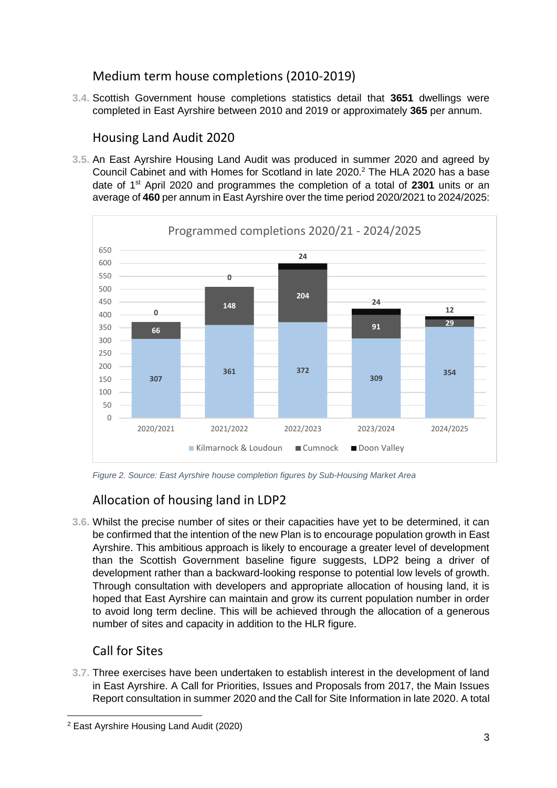### Medium term house completions (2010-2019)

**3.4.** Scottish Government house completions statistics detail that **3651** dwellings were completed in East Ayrshire between 2010 and 2019 or approximately **365** per annum.

### Housing Land Audit 2020

**3.5.** An East Ayrshire Housing Land Audit was produced in summer 2020 and agreed by Council Cabinet and with Homes for Scotland in late 2020.<sup>2</sup> The HLA 2020 has a base date of 1st April 2020 and programmes the completion of a total of **2301** units or an average of **460** per annum in East Ayrshire over the time period 2020/2021 to 2024/2025:



*Figure 2. Source: East Ayrshire house completion figures by Sub-Housing Market Area*

# Allocation of housing land in LDP2

**3.6.** Whilst the precise number of sites or their capacities have yet to be determined, it can be confirmed that the intention of the new Plan is to encourage population growth in East Ayrshire. This ambitious approach is likely to encourage a greater level of development than the Scottish Government baseline figure suggests, LDP2 being a driver of development rather than a backward-looking response to potential low levels of growth. Through consultation with developers and appropriate allocation of housing land, it is hoped that East Ayrshire can maintain and grow its current population number in order to avoid long term decline. This will be achieved through the allocation of a generous number of sites and capacity in addition to the HLR figure.

# Call for Sites

-

**3.7.** Three exercises have been undertaken to establish interest in the development of land in East Ayrshire. A Call for Priorities, Issues and Proposals from 2017, the Main Issues Report consultation in summer 2020 and the Call for Site Information in late 2020. A total

<sup>2</sup> East Ayrshire Housing Land Audit (2020)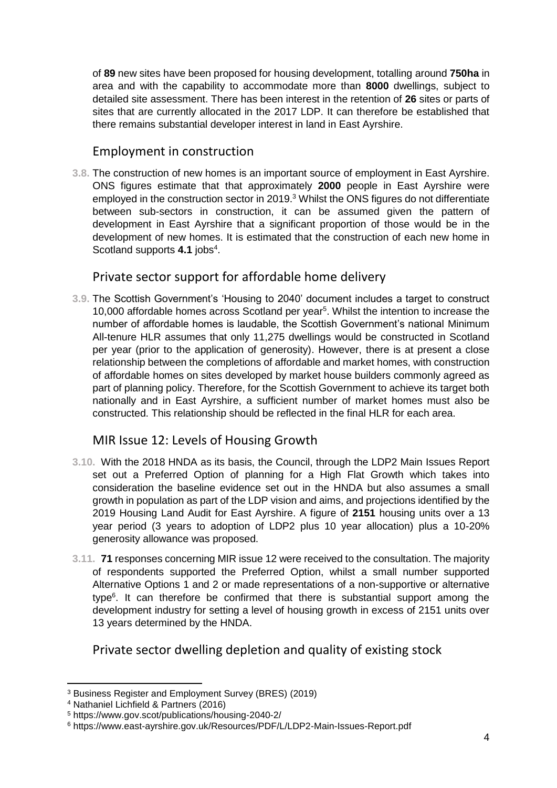of **89** new sites have been proposed for housing development, totalling around **750ha** in area and with the capability to accommodate more than **8000** dwellings, subject to detailed site assessment. There has been interest in the retention of **26** sites or parts of sites that are currently allocated in the 2017 LDP. It can therefore be established that there remains substantial developer interest in land in East Ayrshire.

#### Employment in construction

**3.8.** The construction of new homes is an important source of employment in East Ayrshire. ONS figures estimate that that approximately **2000** people in East Ayrshire were employed in the construction sector in 2019. <sup>3</sup> Whilst the ONS figures do not differentiate between sub-sectors in construction, it can be assumed given the pattern of development in East Ayrshire that a significant proportion of those would be in the development of new homes. It is estimated that the construction of each new home in Scotland supports 4.1 jobs<sup>4</sup>.

#### Private sector support for affordable home delivery

**3.9.** The Scottish Government's 'Housing to 2040' document includes a target to construct 10,000 affordable homes across Scotland per year<sup>5</sup>. Whilst the intention to increase the number of affordable homes is laudable, the Scottish Government's national Minimum All-tenure HLR assumes that only 11,275 dwellings would be constructed in Scotland per year (prior to the application of generosity). However, there is at present a close relationship between the completions of affordable and market homes, with construction of affordable homes on sites developed by market house builders commonly agreed as part of planning policy. Therefore, for the Scottish Government to achieve its target both nationally and in East Ayrshire, a sufficient number of market homes must also be constructed. This relationship should be reflected in the final HLR for each area.

#### MIR Issue 12: Levels of Housing Growth

- **3.10.** With the 2018 HNDA as its basis, the Council, through the LDP2 Main Issues Report set out a Preferred Option of planning for a High Flat Growth which takes into consideration the baseline evidence set out in the HNDA but also assumes a small growth in population as part of the LDP vision and aims, and projections identified by the 2019 Housing Land Audit for East Ayrshire. A figure of **2151** housing units over a 13 year period (3 years to adoption of LDP2 plus 10 year allocation) plus a 10-20% generosity allowance was proposed.
- **3.11. 71** responses concerning MIR issue 12 were received to the consultation. The majority of respondents supported the Preferred Option, whilst a small number supported Alternative Options 1 and 2 or made representations of a non-supportive or alternative type<sup>6</sup>. It can therefore be confirmed that there is substantial support among the development industry for setting a level of housing growth in excess of 2151 units over 13 years determined by the HNDA.

#### Private sector dwelling depletion and quality of existing stock

<sup>-</sup><sup>3</sup> Business Register and Employment Survey (BRES) (2019)

<sup>4</sup> Nathaniel Lichfield & Partners (2016)

<sup>5</sup> https://www.gov.scot/publications/housing-2040-2/

<sup>6</sup> https://www.east-ayrshire.gov.uk/Resources/PDF/L/LDP2-Main-Issues-Report.pdf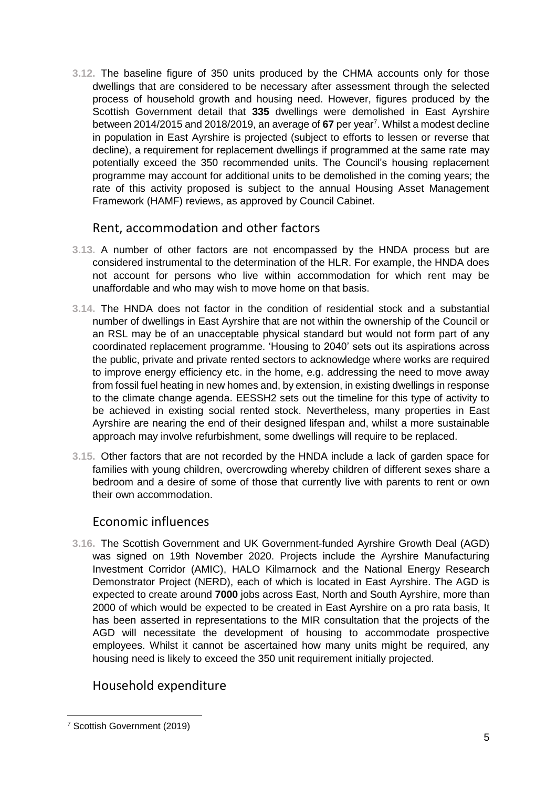**3.12.** The baseline figure of 350 units produced by the CHMA accounts only for those dwellings that are considered to be necessary after assessment through the selected process of household growth and housing need. However, figures produced by the Scottish Government detail that **335** dwellings were demolished in East Ayrshire between 2014/2015 and 2018/2019, an average of 67 per year<sup>7</sup>. Whilst a modest decline in population in East Ayrshire is projected (subject to efforts to lessen or reverse that decline), a requirement for replacement dwellings if programmed at the same rate may potentially exceed the 350 recommended units. The Council's housing replacement programme may account for additional units to be demolished in the coming years; the rate of this activity proposed is subject to the annual Housing Asset Management Framework (HAMF) reviews, as approved by Council Cabinet.

### Rent, accommodation and other factors

- **3.13.** A number of other factors are not encompassed by the HNDA process but are considered instrumental to the determination of the HLR. For example, the HNDA does not account for persons who live within accommodation for which rent may be unaffordable and who may wish to move home on that basis.
- **3.14.** The HNDA does not factor in the condition of residential stock and a substantial number of dwellings in East Ayrshire that are not within the ownership of the Council or an RSL may be of an unacceptable physical standard but would not form part of any coordinated replacement programme. 'Housing to 2040' sets out its aspirations across the public, private and private rented sectors to acknowledge where works are required to improve energy efficiency etc. in the home, e.g. addressing the need to move away from fossil fuel heating in new homes and, by extension, in existing dwellings in response to the climate change agenda. EESSH2 sets out the timeline for this type of activity to be achieved in existing social rented stock. Nevertheless, many properties in East Ayrshire are nearing the end of their designed lifespan and, whilst a more sustainable approach may involve refurbishment, some dwellings will require to be replaced.
- **3.15.** Other factors that are not recorded by the HNDA include a lack of garden space for families with young children, overcrowding whereby children of different sexes share a bedroom and a desire of some of those that currently live with parents to rent or own their own accommodation.

#### Economic influences

**3.16.** The Scottish Government and UK Government-funded Ayrshire Growth Deal (AGD) was signed on 19th November 2020. Projects include the Ayrshire Manufacturing Investment Corridor (AMIC), HALO Kilmarnock and the National Energy Research Demonstrator Project (NERD), each of which is located in East Ayrshire. The AGD is expected to create around **7000** jobs across East, North and South Ayrshire, more than 2000 of which would be expected to be created in East Ayrshire on a pro rata basis, It has been asserted in representations to the MIR consultation that the projects of the AGD will necessitate the development of housing to accommodate prospective employees. Whilst it cannot be ascertained how many units might be required, any housing need is likely to exceed the 350 unit requirement initially projected.

### Household expenditure

<sup>-</sup><sup>7</sup> Scottish Government (2019)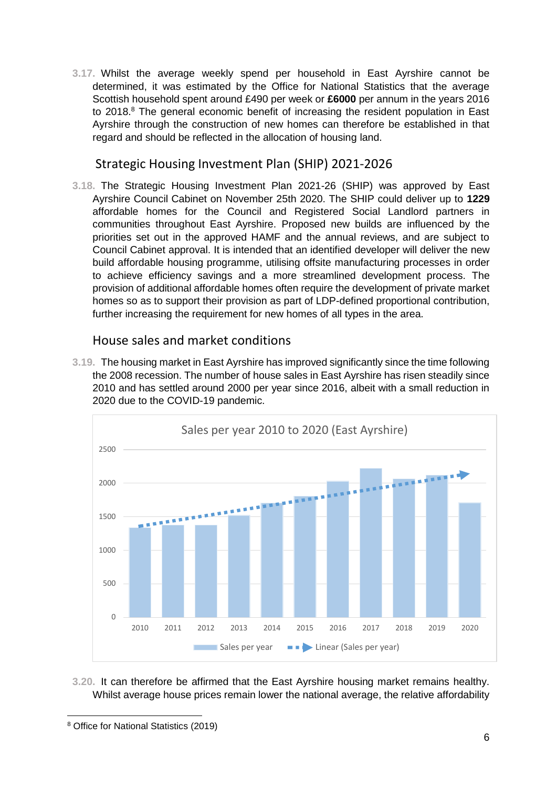**3.17.** Whilst the average weekly spend per household in East Ayrshire cannot be determined, it was estimated by the Office for National Statistics that the average Scottish household spent around £490 per week or **£6000** per annum in the years 2016 to 2018.<sup>8</sup> The general economic benefit of increasing the resident population in East Ayrshire through the construction of new homes can therefore be established in that regard and should be reflected in the allocation of housing land.

Strategic Housing Investment Plan (SHIP) 2021-2026

**3.18.** The Strategic Housing Investment Plan 2021-26 (SHIP) was approved by East Ayrshire Council Cabinet on November 25th 2020. The SHIP could deliver up to **1229** affordable homes for the Council and Registered Social Landlord partners in communities throughout East Ayrshire. Proposed new builds are influenced by the priorities set out in the approved HAMF and the annual reviews, and are subject to Council Cabinet approval. It is intended that an identified developer will deliver the new build affordable housing programme, utilising offsite manufacturing processes in order to achieve efficiency savings and a more streamlined development process. The provision of additional affordable homes often require the development of private market homes so as to support their provision as part of LDP-defined proportional contribution, further increasing the requirement for new homes of all types in the area.

House sales and market conditions

**3.19.** The housing market in East Ayrshire has improved significantly since the time following the 2008 recession. The number of house sales in East Ayrshire has risen steadily since 2010 and has settled around 2000 per year since 2016, albeit with a small reduction in 2020 due to the COVID-19 pandemic.



**3.20.** It can therefore be affirmed that the East Ayrshire housing market remains healthy. Whilst average house prices remain lower the national average, the relative affordability

<sup>-</sup><sup>8</sup> Office for National Statistics (2019)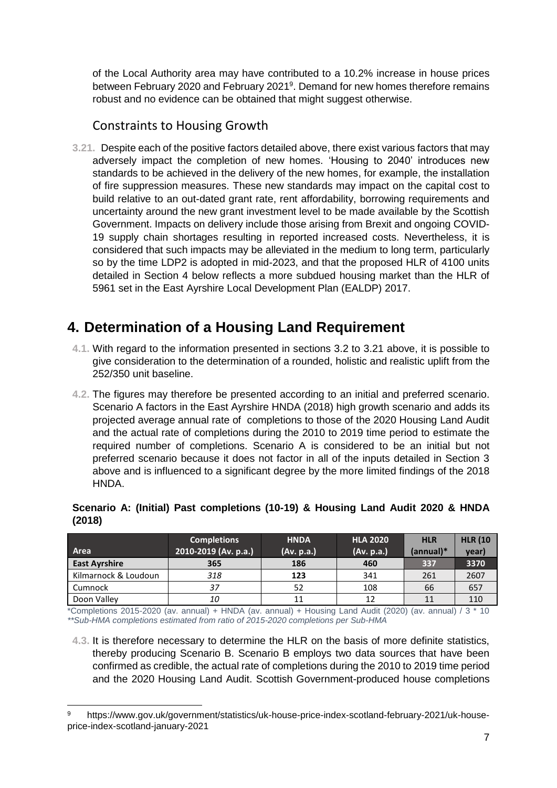of the Local Authority area may have contributed to a 10.2% increase in house prices between February 2020 and February 2021<sup>9</sup>. Demand for new homes therefore remains robust and no evidence can be obtained that might suggest otherwise.

### Constraints to Housing Growth

**3.21.** Despite each of the positive factors detailed above, there exist various factors that may adversely impact the completion of new homes. 'Housing to 2040' introduces new standards to be achieved in the delivery of the new homes, for example, the installation of fire suppression measures. These new standards may impact on the capital cost to build relative to an out-dated grant rate, rent affordability, borrowing requirements and uncertainty around the new grant investment level to be made available by the Scottish Government. Impacts on delivery include those arising from Brexit and ongoing COVID-19 supply chain shortages resulting in reported increased costs. Nevertheless, it is considered that such impacts may be alleviated in the medium to long term, particularly so by the time LDP2 is adopted in mid-2023, and that the proposed HLR of 4100 units detailed in Section 4 below reflects a more subdued housing market than the HLR of 5961 set in the East Ayrshire Local Development Plan (EALDP) 2017.

# **4. Determination of a Housing Land Requirement**

- **4.1.** With regard to the information presented in sections 3.2 to 3.21 above, it is possible to give consideration to the determination of a rounded, holistic and realistic uplift from the 252/350 unit baseline.
- **4.2.** The figures may therefore be presented according to an initial and preferred scenario. Scenario A factors in the East Ayrshire HNDA (2018) high growth scenario and adds its projected average annual rate of completions to those of the 2020 Housing Land Audit and the actual rate of completions during the 2010 to 2019 time period to estimate the required number of completions. Scenario A is considered to be an initial but not preferred scenario because it does not factor in all of the inputs detailed in Section 3 above and is influenced to a significant degree by the more limited findings of the 2018 HNDA.

|                      | <b>Completions</b>   | <b>HNDA</b> | <b>HLA 2020</b> | <b>HLR</b>  | <b>HLR (10</b> |
|----------------------|----------------------|-------------|-----------------|-------------|----------------|
| Area                 | 2010-2019 (Av. p.a.) | (Av. p.a.)  | (Av. p.a.)      | $(annual)*$ | year)          |
| <b>East Ayrshire</b> | 365                  | 186         | 460             | 337         | 3370           |
| Kilmarnock & Loudoun | 318                  | 123         | 341             | 261         | 2607           |
| Cumnock              | 37                   | 52          | 108             | 66          | 657            |

**Scenario A: (Initial) Past completions (10-19) & Housing Land Audit 2020 & HNDA (2018)**

**Doon Valley 10** 10 11 12 12 11 110 \*Completions 2015-2020 (av. annual) + HNDA (av. annual) + Housing Land Audit (2020) (av. annual) / 3 \* 10 *\*\*Sub-HMA completions estimated from ratio of 2015-2020 completions per Sub-HMA*

**4.3.** It is therefore necessary to determine the HLR on the basis of more definite statistics, thereby producing Scenario B. Scenario B employs two data sources that have been confirmed as credible, the actual rate of completions during the 2010 to 2019 time period and the 2020 Housing Land Audit. Scottish Government-produced house completions

-

https://www.gov.uk/government/statistics/uk-house-price-index-scotland-february-2021/uk-houseprice-index-scotland-january-2021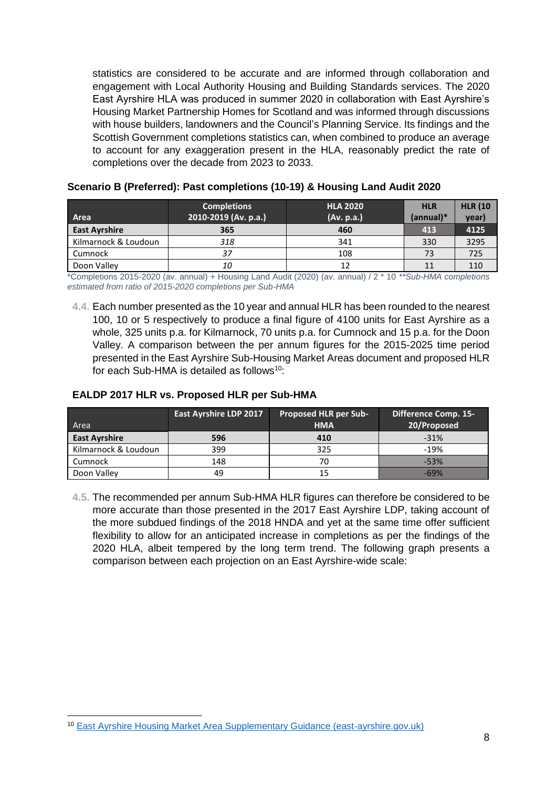statistics are considered to be accurate and are informed through collaboration and engagement with Local Authority Housing and Building Standards services. The 2020 East Ayrshire HLA was produced in summer 2020 in collaboration with East Ayrshire's Housing Market Partnership Homes for Scotland and was informed through discussions with house builders, landowners and the Council's Planning Service. Its findings and the Scottish Government completions statistics can, when combined to produce an average to account for any exaggeration present in the HLA, reasonably predict the rate of completions over the decade from 2023 to 2033.

|                      | <b>Completions</b>   | <b>HLA 2020</b> | <b>HLR</b>  | <b>HLR (10</b> |
|----------------------|----------------------|-----------------|-------------|----------------|
| Area                 | 2010-2019 (Av. p.a.) | (Av. p.a.)      | $(annual)*$ | year)          |
| <b>East Ayrshire</b> | 365                  | 460             | 413         | 4125           |
| Kilmarnock & Loudoun | 318                  | 341             | 330         | 3295           |
| Cumnock              | 37                   | 108             | 73          | 725            |
| Doon Valley          | 10                   | 12              |             | 110            |

#### **Scenario B (Preferred): Past completions (10-19) & Housing Land Audit 2020**

\*Completions 2015-2020 (av. annual) + Housing Land Audit (2020) (av. annual) / 2 \* 10 *\*\*Sub-HMA completions estimated from ratio of 2015-2020 completions per Sub-HMA*

**4.4.** Each number presented as the 10 year and annual HLR has been rounded to the nearest 100, 10 or 5 respectively to produce a final figure of 4100 units for East Ayrshire as a whole, 325 units p.a. for Kilmarnock, 70 units p.a. for Cumnock and 15 p.a. for the Doon Valley. A comparison between the per annum figures for the 2015-2025 time period presented in the East Ayrshire Sub-Housing Market Areas document and proposed HLR for each Sub-HMA is detailed as follows<sup>10</sup>:

#### **EALDP 2017 HLR vs. Proposed HLR per Sub-HMA**

| Area                 | <b>East Ayrshire LDP 2017</b> | <b>Proposed HLR per Sub-</b><br><b>HMA</b> | <b>Difference Comp. 15-</b><br>20/Proposed |
|----------------------|-------------------------------|--------------------------------------------|--------------------------------------------|
| <b>East Ayrshire</b> | 596                           | 410                                        | $-31%$                                     |
| Kilmarnock & Loudoun | 399                           | 325                                        | $-19%$                                     |
| Cumnock              | 148                           | 70                                         | $-53%$                                     |
| Doon Valley          | 49                            | 15                                         | $-69%$                                     |

**4.5.** The recommended per annum Sub-HMA HLR figures can therefore be considered to be more accurate than those presented in the 2017 East Ayrshire LDP, taking account of the more subdued findings of the 2018 HNDA and yet at the same time offer sufficient flexibility to allow for an anticipated increase in completions as per the findings of the 2020 HLA, albeit tempered by the long term trend. The following graph presents a comparison between each projection on an East Ayrshire-wide scale:

<sup>-</sup><sup>10</sup> [East Ayrshire Housing Market Area Supplementary Guidance \(east-ayrshire.gov.uk\)](https://www.east-ayrshire.gov.uk/Resources/PDF/P/Planning-SG-Housing-Market-Area.pdf)